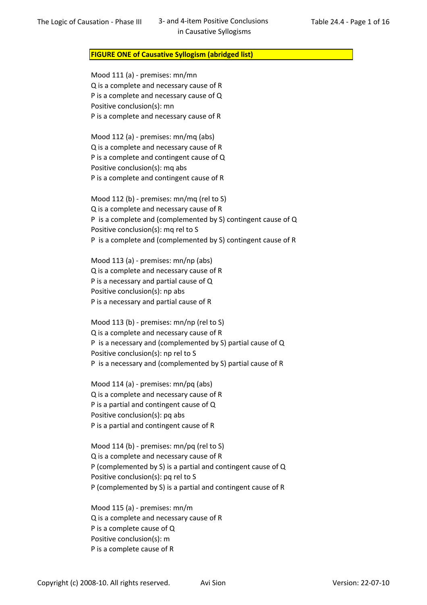## FIGURE ONE of Causative Syllogism (abridged list)

Mood 111 (a) - premises: mn/mn Q is a complete and necessary cause of R P is a complete and necessary cause of Q Positive conclusion(s): mn P is a complete and necessary cause of R

Mood 112 (a) - premises: mn/mq (abs) Q is a complete and necessary cause of R P is a complete and contingent cause of Q Positive conclusion(s): mq abs P is a complete and contingent cause of R

Mood 112 (b) - premises: mn/mq (rel to S) Q is a complete and necessary cause of R P is a complete and (complemented by S) contingent cause of Q Positive conclusion(s): mq rel to S P is a complete and (complemented by S) contingent cause of R

Mood 113 (a) - premises: mn/np (abs) Q is a complete and necessary cause of R P is a necessary and partial cause of Q Positive conclusion(s): np abs P is a necessary and partial cause of R

Mood 113 (b) - premises: mn/np (rel to S) Q is a complete and necessary cause of R P is a necessary and (complemented by S) partial cause of Q Positive conclusion(s): np rel to S P is a necessary and (complemented by S) partial cause of R

Mood 114 (a) - premises: mn/pq (abs) Q is a complete and necessary cause of R P is a partial and contingent cause of Q Positive conclusion(s): pq abs P is a partial and contingent cause of R

Mood 114 (b) - premises: mn/pq (rel to S) Q is a complete and necessary cause of R P (complemented by S) is a partial and contingent cause of Q Positive conclusion(s): pq rel to S P (complemented by S) is a partial and contingent cause of R

Mood 115 (a) - premises: mn/m Q is a complete and necessary cause of R P is a complete cause of Q Positive conclusion(s): m P is a complete cause of R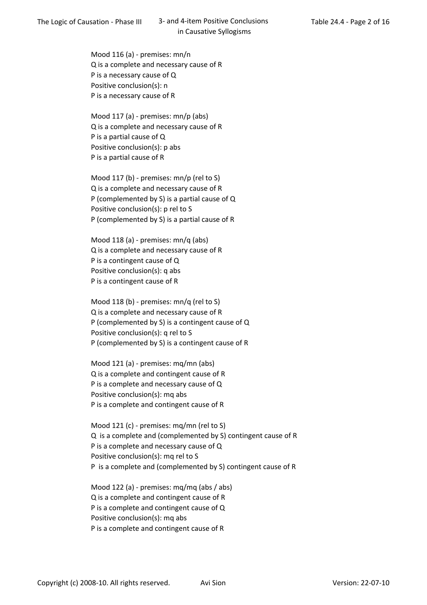Mood 116 (a) - premises: mn/n Q is a complete and necessary cause of R P is a necessary cause of Q Positive conclusion(s): n P is a necessary cause of R

Mood 117 (a) - premises: mn/p (abs) Q is a complete and necessary cause of R P is a partial cause of Q Positive conclusion(s): p abs P is a partial cause of R

Mood 117 (b) - premises: mn/p (rel to S) Q is a complete and necessary cause of R P (complemented by S) is a partial cause of Q Positive conclusion(s): p rel to S P (complemented by S) is a partial cause of R

Mood 118 (a) - premises: mn/q (abs) Q is a complete and necessary cause of R P is a contingent cause of Q Positive conclusion(s): q abs P is a contingent cause of R

Mood 118 (b) - premises: mn/q (rel to S) Q is a complete and necessary cause of R P (complemented by S) is a contingent cause of Q Positive conclusion(s): q rel to S P (complemented by S) is a contingent cause of R

Mood 121 (a) - premises: mq/mn (abs) Q is a complete and contingent cause of R P is a complete and necessary cause of Q Positive conclusion(s): mq abs P is a complete and contingent cause of R

Mood 121 (c) - premises: mq/mn (rel to S) Q is a complete and (complemented by S) contingent cause of R P is a complete and necessary cause of Q Positive conclusion(s): mq rel to S P is a complete and (complemented by S) contingent cause of R

Mood 122 (a) - premises: mq/mq (abs / abs) Q is a complete and contingent cause of R P is a complete and contingent cause of Q Positive conclusion(s): mq abs P is a complete and contingent cause of R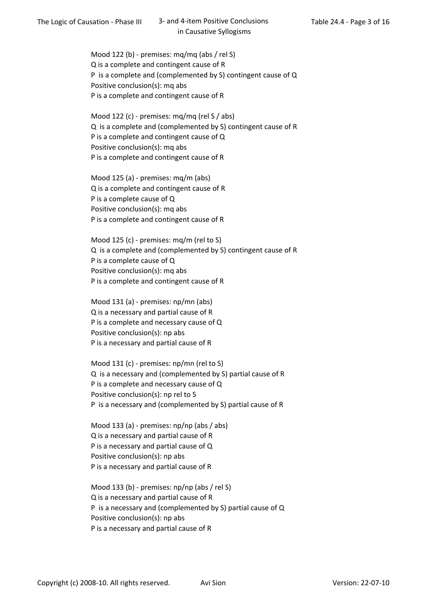Mood 122 (b) - premises: mq/mq (abs / rel S) Q is a complete and contingent cause of R P is a complete and (complemented by S) contingent cause of Q Positive conclusion(s): mq abs P is a complete and contingent cause of R

Mood 122 (c) - premises: mq/mq (rel S / abs) Q is a complete and (complemented by S) contingent cause of R P is a complete and contingent cause of Q Positive conclusion(s): mq abs P is a complete and contingent cause of R

Mood 125 (a) - premises: mq/m (abs) Q is a complete and contingent cause of R P is a complete cause of Q Positive conclusion(s): mq abs P is a complete and contingent cause of R

Mood 125 (c) - premises: mq/m (rel to S) Q is a complete and (complemented by S) contingent cause of R P is a complete cause of Q Positive conclusion(s): mq abs P is a complete and contingent cause of R

Mood 131 (a) - premises: np/mn (abs) Q is a necessary and partial cause of R P is a complete and necessary cause of Q Positive conclusion(s): np abs P is a necessary and partial cause of R

Mood 131 (c) - premises: np/mn (rel to S) Q is a necessary and (complemented by S) partial cause of R P is a complete and necessary cause of Q Positive conclusion(s): np rel to S P is a necessary and (complemented by S) partial cause of R

Mood 133 (a) - premises: np/np (abs / abs) Q is a necessary and partial cause of R P is a necessary and partial cause of Q Positive conclusion(s): np abs P is a necessary and partial cause of R

Mood 133 (b) - premises: np/np (abs / rel S) Q is a necessary and partial cause of R P is a necessary and (complemented by S) partial cause of Q Positive conclusion(s): np abs P is a necessary and partial cause of R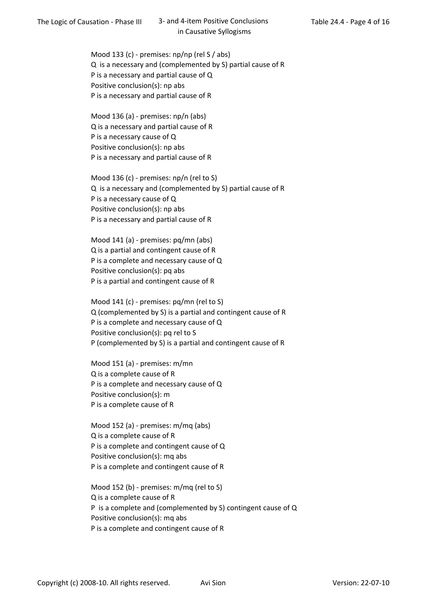Mood 133 (c) - premises: np/np (rel S / abs) Q is a necessary and (complemented by S) partial cause of R P is a necessary and partial cause of Q Positive conclusion(s): np abs P is a necessary and partial cause of R

Mood 136 (a) - premises: np/n (abs) Q is a necessary and partial cause of R P is a necessary cause of Q Positive conclusion(s): np abs P is a necessary and partial cause of R

Mood 136 (c) - premises: np/n (rel to S) Q is a necessary and (complemented by S) partial cause of R P is a necessary cause of Q Positive conclusion(s): np abs P is a necessary and partial cause of R

Mood 141 (a) - premises: pq/mn (abs) Q is a partial and contingent cause of R P is a complete and necessary cause of Q Positive conclusion(s): pq abs P is a partial and contingent cause of R

Mood 141 (c) - premises: pq/mn (rel to S) Q (complemented by S) is a partial and contingent cause of R P is a complete and necessary cause of Q Positive conclusion(s): pq rel to S P (complemented by S) is a partial and contingent cause of R

Mood 151 (a) - premises: m/mn Q is a complete cause of R P is a complete and necessary cause of Q Positive conclusion(s): m P is a complete cause of R

Mood 152 (a) - premises: m/mq (abs) Q is a complete cause of R P is a complete and contingent cause of Q Positive conclusion(s): mq abs P is a complete and contingent cause of R

Mood 152 (b) - premises: m/mq (rel to S) Q is a complete cause of R P is a complete and (complemented by S) contingent cause of Q Positive conclusion(s): mq abs P is a complete and contingent cause of R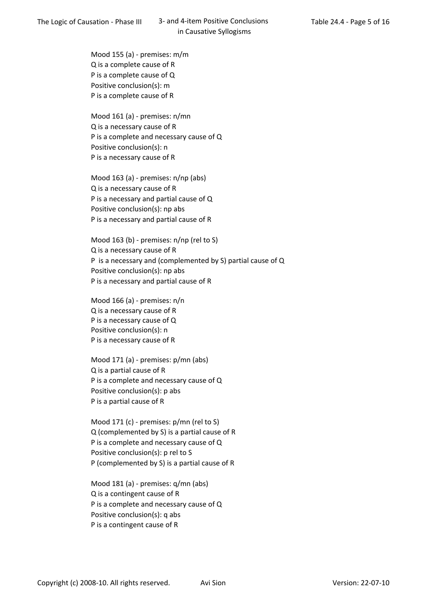Mood 155 (a) - premises: m/m Q is a complete cause of R P is a complete cause of Q Positive conclusion(s): m P is a complete cause of R

Mood 161 (a) - premises: n/mn Q is a necessary cause of R P is a complete and necessary cause of Q Positive conclusion(s): n P is a necessary cause of R

Mood 163 (a) - premises: n/np (abs) Q is a necessary cause of R P is a necessary and partial cause of Q Positive conclusion(s): np abs P is a necessary and partial cause of R

Mood 163 (b) - premises: n/np (rel to S) Q is a necessary cause of R P is a necessary and (complemented by S) partial cause of Q Positive conclusion(s): np abs P is a necessary and partial cause of R

Mood 166 (a) - premises: n/n Q is a necessary cause of R P is a necessary cause of Q Positive conclusion(s): n P is a necessary cause of R

Mood 171 (a) - premises: p/mn (abs) Q is a partial cause of R P is a complete and necessary cause of Q Positive conclusion(s): p abs P is a partial cause of R

Mood 171 (c) - premises: p/mn (rel to S) Q (complemented by S) is a partial cause of R P is a complete and necessary cause of Q Positive conclusion(s): p rel to S P (complemented by S) is a partial cause of R

Mood 181 (a) - premises: q/mn (abs) Q is a contingent cause of R P is a complete and necessary cause of Q Positive conclusion(s): q abs P is a contingent cause of R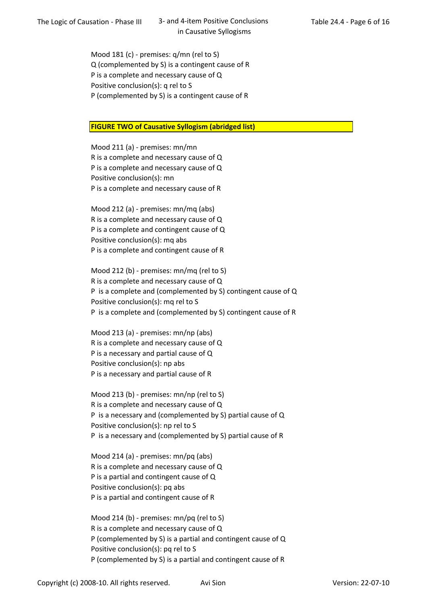Mood 181 (c) - premises: q/mn (rel to S) Q (complemented by S) is a contingent cause of R P is a complete and necessary cause of Q Positive conclusion(s): q rel to S P (complemented by S) is a contingent cause of R

## **FIGURE TWO of Causative Syllogism (abridged list)**

Mood 211 (a) - premises: mn/mn R is a complete and necessary cause of Q P is a complete and necessary cause of Q Positive conclusion(s): mn P is a complete and necessary cause of R

Mood 212 (a) - premises: mn/mq (abs) R is a complete and necessary cause of Q P is a complete and contingent cause of Q Positive conclusion(s): mq abs P is a complete and contingent cause of R

Mood 212 (b) - premises: mn/mq (rel to S) R is a complete and necessary cause of Q P is a complete and (complemented by S) contingent cause of Q Positive conclusion(s): mq rel to S P is a complete and (complemented by S) contingent cause of R

Mood 213 (a) - premises: mn/np (abs) R is a complete and necessary cause of Q P is a necessary and partial cause of Q Positive conclusion(s): np abs P is a necessary and partial cause of R

Mood 213 (b) - premises: mn/np (rel to S) R is a complete and necessary cause of Q P is a necessary and (complemented by S) partial cause of Q Positive conclusion(s): np rel to S P is a necessary and (complemented by S) partial cause of R

Mood 214 (a) - premises: mn/pq (abs) R is a complete and necessary cause of Q P is a partial and contingent cause of Q Positive conclusion(s): pq abs P is a partial and contingent cause of R

Mood 214 (b) - premises: mn/pq (rel to S) R is a complete and necessary cause of Q P (complemented by S) is a partial and contingent cause of Q Positive conclusion(s): pq rel to S P (complemented by S) is a partial and contingent cause of R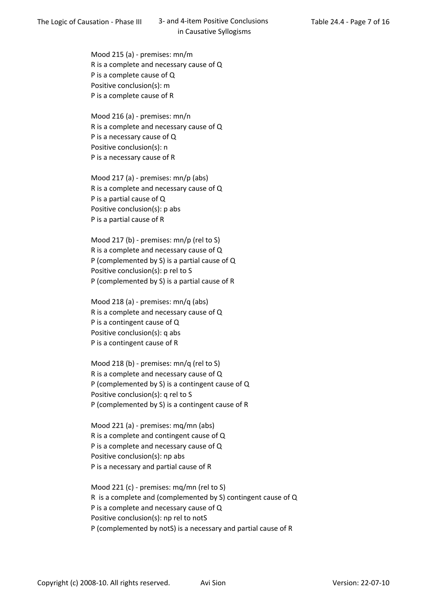Mood 215 (a) - premises: mn/m R is a complete and necessary cause of Q P is a complete cause of Q Positive conclusion(s): m P is a complete cause of R

Mood 216 (a) - premises: mn/n R is a complete and necessary cause of Q P is a necessary cause of Q Positive conclusion(s): n P is a necessary cause of R

Mood 217 (a) - premises: mn/p (abs) R is a complete and necessary cause of Q P is a partial cause of Q Positive conclusion(s): p abs P is a partial cause of R

Mood 217 (b) - premises: mn/p (rel to S) R is a complete and necessary cause of Q P (complemented by S) is a partial cause of Q Positive conclusion(s): p rel to S P (complemented by S) is a partial cause of R

Mood 218 (a) - premises: mn/q (abs) R is a complete and necessary cause of Q P is a contingent cause of Q Positive conclusion(s): q abs P is a contingent cause of R

Mood 218 (b) - premises: mn/q (rel to S) R is a complete and necessary cause of Q P (complemented by S) is a contingent cause of Q Positive conclusion(s): q rel to S P (complemented by S) is a contingent cause of R

Mood 221 (a) - premises: mq/mn (abs) R is a complete and contingent cause of Q P is a complete and necessary cause of Q Positive conclusion(s): np abs P is a necessary and partial cause of R

Mood 221 (c) - premises: mq/mn (rel to S) R is a complete and (complemented by S) contingent cause of Q P is a complete and necessary cause of Q Positive conclusion(s): np rel to notS P (complemented by notS) is a necessary and partial cause of R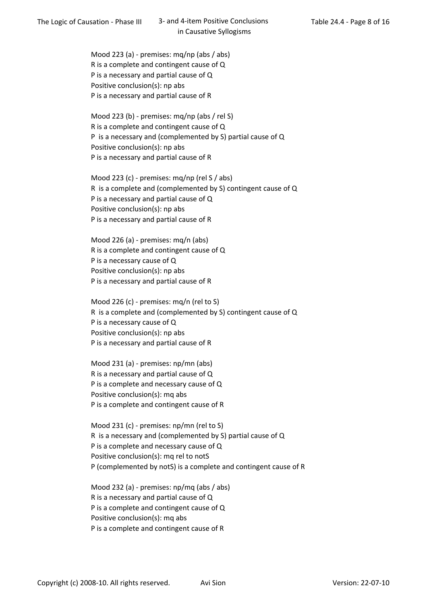Mood 223 (a) - premises: mq/np (abs / abs) R is a complete and contingent cause of Q P is a necessary and partial cause of Q Positive conclusion(s): np abs P is a necessary and partial cause of R

Mood 223 (b) - premises: mq/np (abs / rel S) R is a complete and contingent cause of Q P is a necessary and (complemented by S) partial cause of Q Positive conclusion(s): np abs P is a necessary and partial cause of R

Mood 223 (c) - premises: mq/np (rel S / abs) R is a complete and (complemented by S) contingent cause of Q P is a necessary and partial cause of Q Positive conclusion(s): np abs P is a necessary and partial cause of R

Mood 226 (a) - premises: mq/n (abs) R is a complete and contingent cause of Q P is a necessary cause of Q Positive conclusion(s): np abs P is a necessary and partial cause of R

Mood 226 (c) - premises: mq/n (rel to S) R is a complete and (complemented by S) contingent cause of Q P is a necessary cause of Q Positive conclusion(s): np abs P is a necessary and partial cause of R

Mood 231 (a) - premises: np/mn (abs) R is a necessary and partial cause of Q P is a complete and necessary cause of Q Positive conclusion(s): mq abs P is a complete and contingent cause of R

Mood 231 (c) - premises: np/mn (rel to S) R is a necessary and (complemented by S) partial cause of Q P is a complete and necessary cause of Q Positive conclusion(s): mq rel to notS P (complemented by notS) is a complete and contingent cause of R

Mood 232 (a) - premises: np/mq (abs / abs) R is a necessary and partial cause of Q P is a complete and contingent cause of Q Positive conclusion(s): mq abs P is a complete and contingent cause of R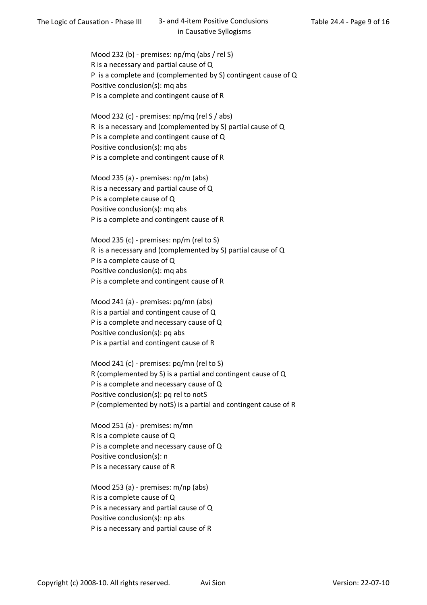Mood 232 (b) - premises: np/mq (abs / rel S) R is a necessary and partial cause of Q P is a complete and (complemented by S) contingent cause of Q Positive conclusion(s): mq abs P is a complete and contingent cause of R

Mood 232 (c) - premises: np/mq (rel S / abs) R is a necessary and (complemented by S) partial cause of Q P is a complete and contingent cause of Q Positive conclusion(s): mq abs P is a complete and contingent cause of R

Mood 235 (a) - premises: np/m (abs) R is a necessary and partial cause of Q P is a complete cause of Q Positive conclusion(s): mq abs P is a complete and contingent cause of R

Mood 235 (c) - premises: np/m (rel to S) R is a necessary and (complemented by S) partial cause of Q P is a complete cause of Q Positive conclusion(s): mq abs P is a complete and contingent cause of R

Mood 241 (a) - premises: pq/mn (abs) R is a partial and contingent cause of Q P is a complete and necessary cause of Q Positive conclusion(s): pq abs P is a partial and contingent cause of R

Mood 241 (c) - premises: pq/mn (rel to S) R (complemented by S) is a partial and contingent cause of Q P is a complete and necessary cause of Q Positive conclusion(s): pq rel to notS P (complemented by notS) is a partial and contingent cause of R

Mood 251 (a) - premises: m/mn R is a complete cause of Q P is a complete and necessary cause of Q Positive conclusion(s): n P is a necessary cause of R

Mood 253 (a) - premises: m/np (abs) R is a complete cause of Q P is a necessary and partial cause of Q Positive conclusion(s): np abs P is a necessary and partial cause of R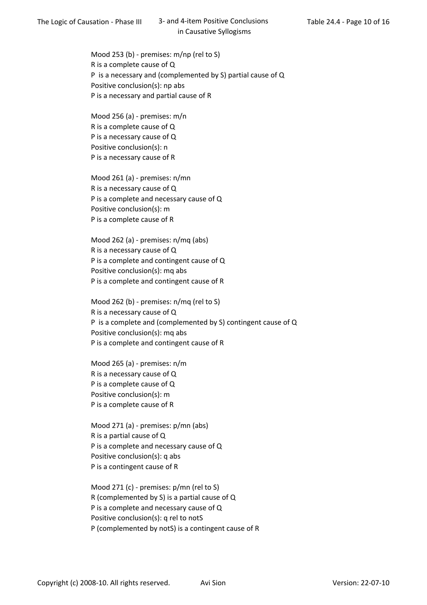Mood 253 (b) - premises: m/np (rel to S) R is a complete cause of Q P is a necessary and (complemented by S) partial cause of Q Positive conclusion(s): np abs P is a necessary and partial cause of R

Mood 256 (a) - premises: m/n R is a complete cause of Q P is a necessary cause of Q Positive conclusion(s): n P is a necessary cause of R

Mood 261 (a) - premises: n/mn R is a necessary cause of Q P is a complete and necessary cause of Q Positive conclusion(s): m P is a complete cause of R

Mood 262 (a) - premises: n/mq (abs) R is a necessary cause of Q P is a complete and contingent cause of Q Positive conclusion(s): mq abs P is a complete and contingent cause of R

Mood 262 (b) - premises: n/mq (rel to S) R is a necessary cause of Q P is a complete and (complemented by S) contingent cause of Q Positive conclusion(s): mq abs P is a complete and contingent cause of R

Mood 265 (a) - premises: n/m R is a necessary cause of Q P is a complete cause of Q Positive conclusion(s): m P is a complete cause of R

Mood 271 (a) - premises: p/mn (abs) R is a partial cause of Q P is a complete and necessary cause of Q Positive conclusion(s): q abs P is a contingent cause of R

Mood 271 (c) - premises: p/mn (rel to S) R (complemented by S) is a partial cause of Q P is a complete and necessary cause of Q Positive conclusion(s): q rel to notS P (complemented by notS) is a contingent cause of R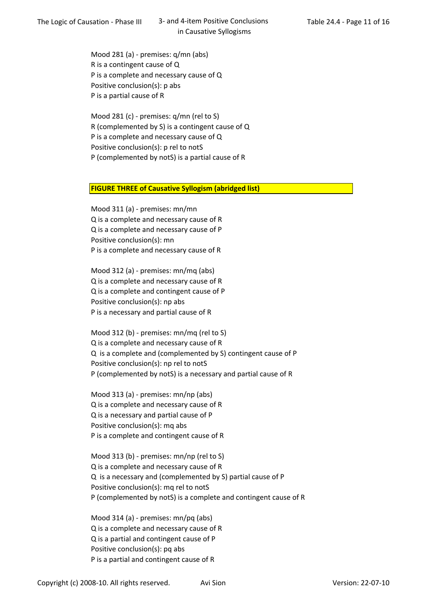Mood 281 (a) - premises: q/mn (abs) R is a contingent cause of Q P is a complete and necessary cause of Q Positive conclusion(s): p abs P is a partial cause of R

Mood 281 (c) - premises: q/mn (rel to S) R (complemented by S) is a contingent cause of Q P is a complete and necessary cause of Q Positive conclusion(s): p rel to notS P (complemented by notS) is a partial cause of R

## FIGURE THREE of Causative Syllogism (abridged list)

Mood 311 (a) - premises: mn/mn Q is a complete and necessary cause of R Q is a complete and necessary cause of P Positive conclusion(s): mn P is a complete and necessary cause of R

Mood 312 (a) - premises: mn/mq (abs) Q is a complete and necessary cause of R Q is a complete and contingent cause of P Positive conclusion(s): np abs P is a necessary and partial cause of R

Mood 312 (b) - premises: mn/mq (rel to S) Q is a complete and necessary cause of R Q is a complete and (complemented by S) contingent cause of P Positive conclusion(s): np rel to notS P (complemented by notS) is a necessary and partial cause of R

Mood 313 (a) - premises: mn/np (abs) Q is a complete and necessary cause of R Q is a necessary and partial cause of P Positive conclusion(s): mq abs P is a complete and contingent cause of R

Mood 313 (b) - premises: mn/np (rel to S) Q is a complete and necessary cause of R Q is a necessary and (complemented by S) partial cause of P Positive conclusion(s): mq rel to notS P (complemented by notS) is a complete and contingent cause of R

Mood 314 (a) - premises: mn/pq (abs) Q is a complete and necessary cause of R Q is a partial and contingent cause of P Positive conclusion(s): pq abs P is a partial and contingent cause of R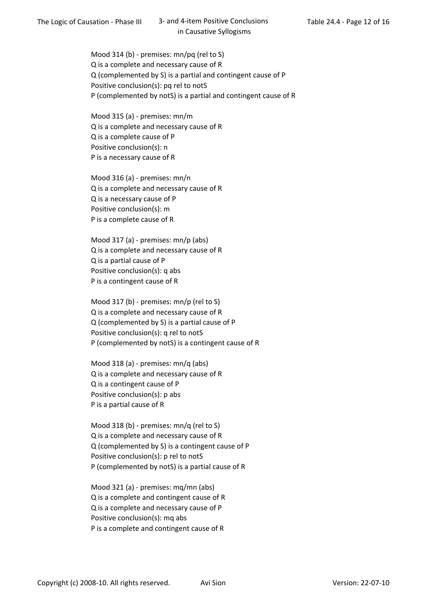Mood 314 (b) - premises: mn/pq (rel to S) Q is a complete and necessary cause of R Q (complemented by S) is a partial and contingent cause of P Positive conclusion(s): pq rel to notS P (complemented by notS) is a partial and contingent cause of R

Mood 315 (a) - premises: mn/m Q is a complete and necessary cause of R Q is a complete cause of P Positive conclusion(s): n P is a necessary cause of R

Mood 316 (a) - premises: mn/n Q is a complete and necessary cause of R Q is a necessary cause of P Positive conclusion(s): m P is a complete cause of R

Mood 317 (a) - premises: mn/p (abs) Q is a complete and necessary cause of R Q is a partial cause of P Positive conclusion(s): q abs P is a contingent cause of R

Mood 317 (b) - premises: mn/p (rel to S) Q is a complete and necessary cause of R Q (complemented by S) is a partial cause of P Positive conclusion(s): q rel to notS P (complemented by notS) is a contingent cause of R

Mood 318 (a) - premises: mn/q (abs) Q is a complete and necessary cause of R Q is a contingent cause of P Positive conclusion(s): p abs P is a partial cause of R

Mood 318 (b) - premises: mn/q (rel to S) Q is a complete and necessary cause of R Q (complemented by S) is a contingent cause of P Positive conclusion(s): p rel to notS P (complemented by notS) is a partial cause of R

Mood 321 (a) - premises: mq/mn (abs) Q is a complete and contingent cause of R Q is a complete and necessary cause of P Positive conclusion(s): mq abs P is a complete and contingent cause of R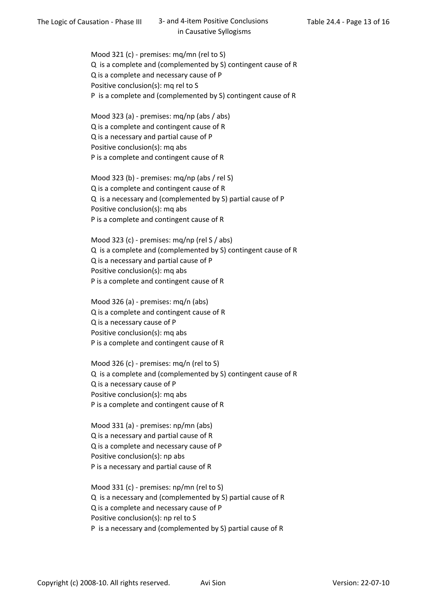Mood 321 (c) - premises: mq/mn (rel to S) Q is a complete and (complemented by S) contingent cause of R Q is a complete and necessary cause of P Positive conclusion(s): mq rel to S P is a complete and (complemented by S) contingent cause of R

Mood 323 (a) - premises: mq/np (abs / abs) Q is a complete and contingent cause of R Q is a necessary and partial cause of P Positive conclusion(s): mq abs P is a complete and contingent cause of R

Mood 323 (b) - premises: mq/np (abs / rel S) Q is a complete and contingent cause of R Q is a necessary and (complemented by S) partial cause of P Positive conclusion(s): mq abs P is a complete and contingent cause of R

Mood 323 (c) - premises: mq/np (rel S / abs) Q is a complete and (complemented by S) contingent cause of R Q is a necessary and partial cause of P Positive conclusion(s): mq abs P is a complete and contingent cause of R

Mood 326 (a) - premises: mq/n (abs) Q is a complete and contingent cause of R Q is a necessary cause of P Positive conclusion(s): mq abs P is a complete and contingent cause of R

Mood 326 (c) - premises: mq/n (rel to S) Q is a complete and (complemented by S) contingent cause of R Q is a necessary cause of P Positive conclusion(s): mq abs P is a complete and contingent cause of R

Mood 331 (a) - premises: np/mn (abs) Q is a necessary and partial cause of R Q is a complete and necessary cause of P Positive conclusion(s): np abs P is a necessary and partial cause of R

Mood 331 (c) - premises: np/mn (rel to S) Q is a necessary and (complemented by S) partial cause of R Q is a complete and necessary cause of P Positive conclusion(s): np rel to S P is a necessary and (complemented by S) partial cause of R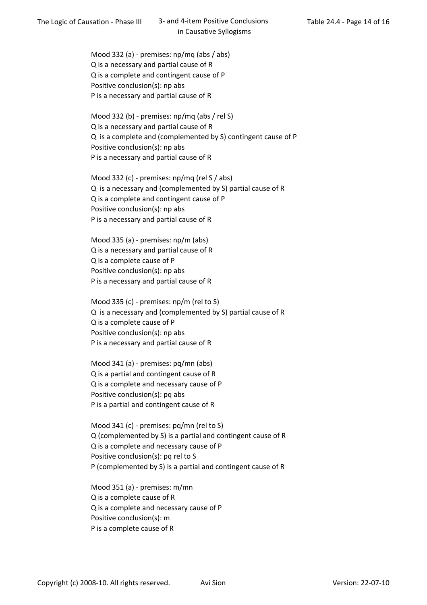Mood 332 (a) - premises: np/mq (abs / abs) Q is a necessary and partial cause of R Q is a complete and contingent cause of P Positive conclusion(s): np abs P is a necessary and partial cause of R

Mood 332 (b) - premises: np/mq (abs / rel S) Q is a necessary and partial cause of R Q is a complete and (complemented by S) contingent cause of P Positive conclusion(s): np abs P is a necessary and partial cause of R

Mood 332 (c) - premises: np/mq (rel S / abs) Q is a necessary and (complemented by S) partial cause of R Q is a complete and contingent cause of P Positive conclusion(s): np abs P is a necessary and partial cause of R

Mood 335 (a) - premises: np/m (abs) Q is a necessary and partial cause of R Q is a complete cause of P Positive conclusion(s): np abs P is a necessary and partial cause of R

Mood 335 (c) - premises: np/m (rel to S) Q is a necessary and (complemented by S) partial cause of R Q is a complete cause of P Positive conclusion(s): np abs P is a necessary and partial cause of R

Mood 341 (a) - premises: pq/mn (abs) Q is a partial and contingent cause of R Q is a complete and necessary cause of P Positive conclusion(s): pq abs P is a partial and contingent cause of R

Mood 341 (c) - premises: pq/mn (rel to S) Q (complemented by S) is a partial and contingent cause of R Q is a complete and necessary cause of P Positive conclusion(s): pq rel to S P (complemented by S) is a partial and contingent cause of R

Mood 351 (a) - premises: m/mn Q is a complete cause of R Q is a complete and necessary cause of P Positive conclusion(s): m P is a complete cause of R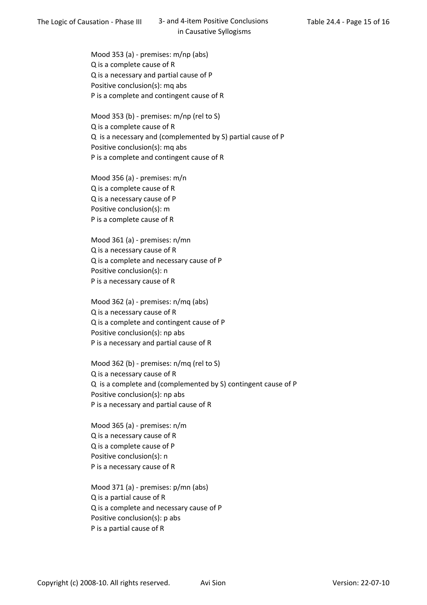Mood 353 (a) - premises: m/np (abs) Q is a complete cause of R Q is a necessary and partial cause of P Positive conclusion(s): mq abs P is a complete and contingent cause of R

Mood 353 (b) - premises: m/np (rel to S) Q is a complete cause of R Q is a necessary and (complemented by S) partial cause of P Positive conclusion(s): mq abs P is a complete and contingent cause of R

Mood 356 (a) - premises: m/n Q is a complete cause of R Q is a necessary cause of P Positive conclusion(s): m P is a complete cause of R

Mood 361 (a) - premises: n/mn Q is a necessary cause of R Q is a complete and necessary cause of P Positive conclusion(s): n P is a necessary cause of R

Mood 362 (a) - premises: n/mq (abs) Q is a necessary cause of R Q is a complete and contingent cause of P Positive conclusion(s): np abs P is a necessary and partial cause of R

Mood 362 (b) - premises: n/mq (rel to S) Q is a necessary cause of R Q is a complete and (complemented by S) contingent cause of P Positive conclusion(s): np abs P is a necessary and partial cause of R

Mood 365 (a) - premises: n/m Q is a necessary cause of R Q is a complete cause of P Positive conclusion(s): n P is a necessary cause of R

Mood 371 (a) - premises: p/mn (abs) Q is a partial cause of R Q is a complete and necessary cause of P Positive conclusion(s): p abs P is a partial cause of R